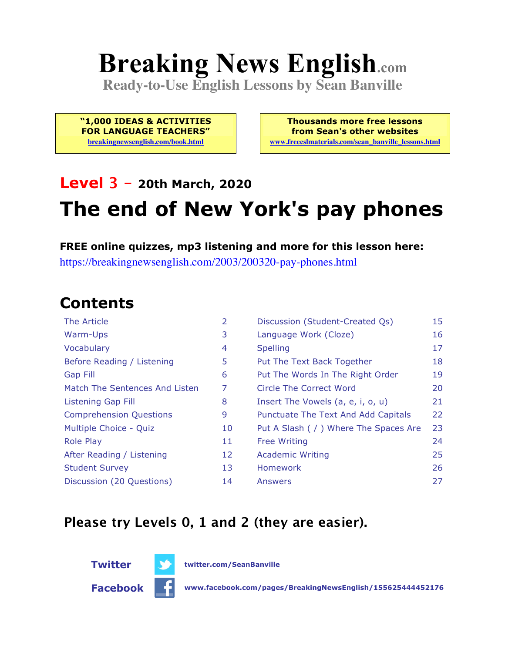# **Breaking News English.com**

**Ready-to-Use English Lessons by Sean Banville**

**"1,000 IDEAS & ACTIVITIES FOR LANGUAGE TEACHERS"**

**breakingnewsenglish.com/book.html**

**Thousands more free lessons from Sean's other websites www.freeeslmaterials.com/sean\_banville\_lessons.html**

#### **Level 3 - 20th March, 2020**

## **The end of New York's pay phones**

**FREE online quizzes, mp3 listening and more for this lesson here:** https://breakingnewsenglish.com/2003/200320-pay-phones.html

#### **Contents**

| <b>The Article</b>             | $\overline{2}$ | Discussion (Student-Created Qs)        | 15 |
|--------------------------------|----------------|----------------------------------------|----|
| Warm-Ups                       | 3              | Language Work (Cloze)                  | 16 |
| Vocabulary                     | 4              | <b>Spelling</b>                        | 17 |
| Before Reading / Listening     | 5              | Put The Text Back Together             | 18 |
| <b>Gap Fill</b>                | 6              | Put The Words In The Right Order       | 19 |
| Match The Sentences And Listen | 7              | Circle The Correct Word                | 20 |
| <b>Listening Gap Fill</b>      | 8              | Insert The Vowels (a, e, i, o, u)      | 21 |
| <b>Comprehension Questions</b> | 9              | Punctuate The Text And Add Capitals    | 22 |
| Multiple Choice - Quiz         | 10             | Put A Slash ( / ) Where The Spaces Are | 23 |
| <b>Role Play</b>               | 11             | <b>Free Writing</b>                    | 24 |
| After Reading / Listening      | 12             | <b>Academic Writing</b>                | 25 |
| <b>Student Survey</b>          | 13             | Homework                               | 26 |
| Discussion (20 Questions)      | 14             | Answers                                | 27 |

#### **Please try Levels 0, 1 and 2 (they are easier).**



**Twitter twitter.com/SeanBanville**

**Facebook www.facebook.com/pages/BreakingNewsEnglish/155625444452176**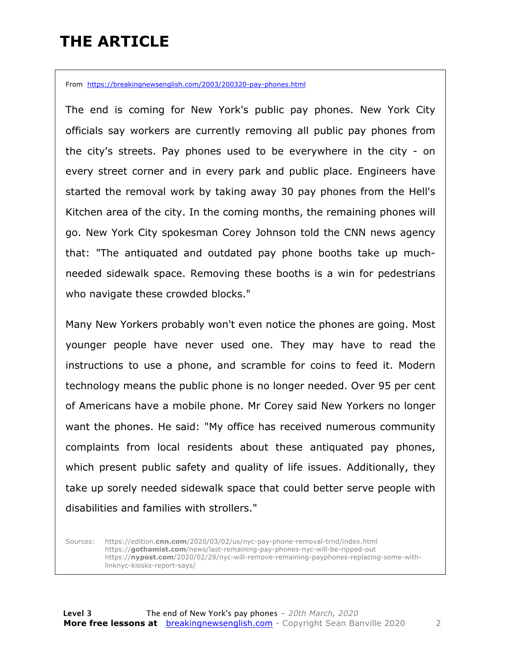## **THE ARTICLE**

From https://breakingnewsenglish.com/2003/200320-pay-phones.html

The end is coming for New York's public pay phones. New York City officials say workers are currently removing all public pay phones from the city's streets. Pay phones used to be everywhere in the city - on every street corner and in every park and public place. Engineers have started the removal work by taking away 30 pay phones from the Hell's Kitchen area of the city. In the coming months, the remaining phones will go. New York City spokesman Corey Johnson told the CNN news agency that: "The antiquated and outdated pay phone booths take up muchneeded sidewalk space. Removing these booths is a win for pedestrians who navigate these crowded blocks."

Many New Yorkers probably won't even notice the phones are going. Most younger people have never used one. They may have to read the instructions to use a phone, and scramble for coins to feed it. Modern technology means the public phone is no longer needed. Over 95 per cent of Americans have a mobile phone. Mr Corey said New Yorkers no longer want the phones. He said: "My office has received numerous community complaints from local residents about these antiquated pay phones, which present public safety and quality of life issues. Additionally, they take up sorely needed sidewalk space that could better serve people with disabilities and families with strollers."

Sources: https://edition.**cnn.com**/2020/03/02/us/nyc-pay-phone-removal-trnd/index.html https://**gothamist.com**/news/last-remaining-pay-phones-nyc-will-be-ripped-out https://**nypost.com**/2020/02/28/nyc-will-remove-remaining-payphones-replacing-some-withlinknyc-kiosks-report-says/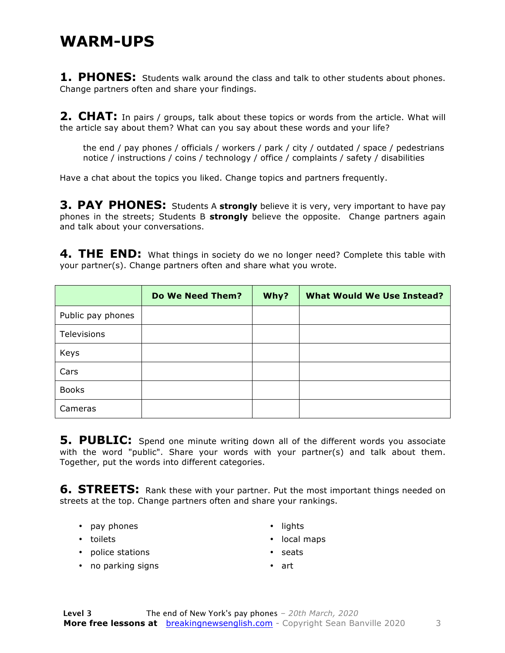#### **WARM-UPS**

**1. PHONES:** Students walk around the class and talk to other students about phones. Change partners often and share your findings.

**2. CHAT:** In pairs / groups, talk about these topics or words from the article. What will the article say about them? What can you say about these words and your life?

the end / pay phones / officials / workers / park / city / outdated / space / pedestrians notice / instructions / coins / technology / office / complaints / safety / disabilities

Have a chat about the topics you liked. Change topics and partners frequently.

**3. PAY PHONES:** Students A strongly believe it is very, very important to have pay phones in the streets; Students B **strongly** believe the opposite. Change partners again and talk about your conversations.

**4. THE END:** What things in society do we no longer need? Complete this table with your partner(s). Change partners often and share what you wrote.

|                   | <b>Do We Need Them?</b> | Why? | <b>What Would We Use Instead?</b> |
|-------------------|-------------------------|------|-----------------------------------|
| Public pay phones |                         |      |                                   |
| Televisions       |                         |      |                                   |
| Keys              |                         |      |                                   |
| Cars              |                         |      |                                   |
| <b>Books</b>      |                         |      |                                   |
| Cameras           |                         |      |                                   |

**5. PUBLIC:** Spend one minute writing down all of the different words you associate with the word "public". Share your words with your partner(s) and talk about them. Together, put the words into different categories.

**6. STREETS:** Rank these with your partner. Put the most important things needed on streets at the top. Change partners often and share your rankings.

- pay phones
- toilets
- lights
- local maps

• police stations

• seats

• no parking signs

• art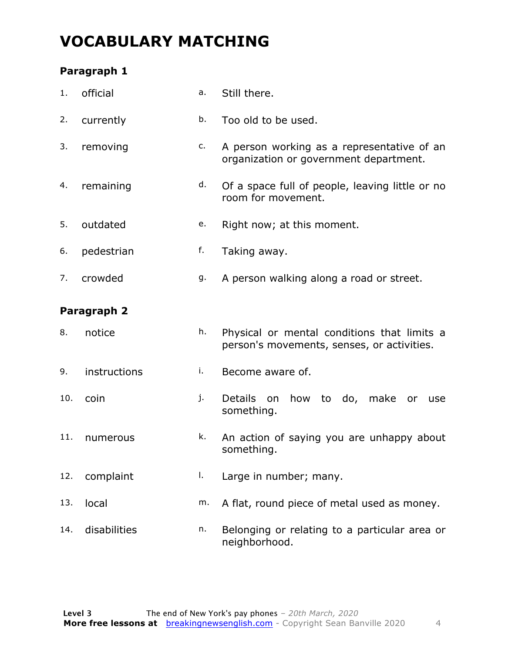## **VOCABULARY MATCHING**

#### **Paragraph 1**

| 1.  | official     | a. | Still there.                                                                              |  |  |  |  |  |
|-----|--------------|----|-------------------------------------------------------------------------------------------|--|--|--|--|--|
| 2.  | currently    | b. | Too old to be used.                                                                       |  |  |  |  |  |
| 3.  | removing     | c. | A person working as a representative of an<br>organization or government department.      |  |  |  |  |  |
| 4.  | remaining    | d. | Of a space full of people, leaving little or no<br>room for movement.                     |  |  |  |  |  |
| 5.  | outdated     | e. | Right now; at this moment.                                                                |  |  |  |  |  |
| 6.  | pedestrian   | f. | Taking away.                                                                              |  |  |  |  |  |
| 7.  | crowded      | g. | A person walking along a road or street.                                                  |  |  |  |  |  |
|     | Paragraph 2  |    |                                                                                           |  |  |  |  |  |
| 8.  | notice       | h. | Physical or mental conditions that limits a<br>person's movements, senses, or activities. |  |  |  |  |  |
| 9.  | instructions | i. | Become aware of.                                                                          |  |  |  |  |  |
| 10. | coin         | j. | <b>Details</b><br>how to do, make<br>on<br>or<br>use<br>something.                        |  |  |  |  |  |
| 11. | numerous     | k. | An action of saying you are unhappy about<br>something.                                   |  |  |  |  |  |
| 12. | complaint    | Ι. | Large in number; many.                                                                    |  |  |  |  |  |
| 13. | local        | m. | A flat, round piece of metal used as money.                                               |  |  |  |  |  |
| 14. | disabilities | n. | Belonging or relating to a particular area or<br>neighborhood.                            |  |  |  |  |  |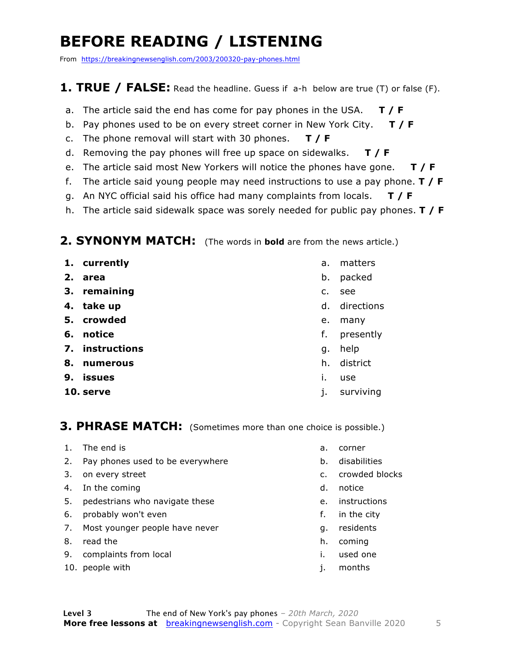## **BEFORE READING / LISTENING**

From https://breakingnewsenglish.com/2003/200320-pay-phones.html

#### **1. TRUE / FALSE:** Read the headline. Guess if a-h below are true (T) or false (F).

- a. The article said the end has come for pay phones in the USA. **T / F**
- b. Pay phones used to be on every street corner in New York City. **T / F**
- c. The phone removal will start with 30 phones. **T / F**
- d. Removing the pay phones will free up space on sidewalks. **T / F**
- e. The article said most New Yorkers will notice the phones have gone. **T / F**
- f. The article said young people may need instructions to use a pay phone. **T / F**
- g. An NYC official said his office had many complaints from locals. **T / F**
- h. The article said sidewalk space was sorely needed for public pay phones. **T / F**

#### **2. SYNONYM MATCH:** (The words in **bold** are from the news article.)

- **1. currently**
- **2. area**
- **3. remaining**
- **4. take up**
- **5. crowded**
- **6. notice**
- **7. instructions**
- **8. numerous**
- **9. issues**
- **10. serve**
- a. matters
- b. packed
- c. see
- d. directions
- e. many
- f. presently
- g. help
- h. district
- i. use
- j. surviving

#### **3. PHRASE MATCH:** (Sometimes more than one choice is possible.)

- 1. The end is
- 2. Pay phones used to be everywhere
- 3. on every street
- 4. In the coming
- 5. pedestrians who navigate these
- 6. probably won't even
- 7. Most younger people have never
- 8. read the
- 9. complaints from local
- 10. people with
- a. corner
- b. disabilities
- c. crowded blocks
- d. notice
- e. instructions
- f. in the city
- g. residents
- h. coming
- i. used one
- j. months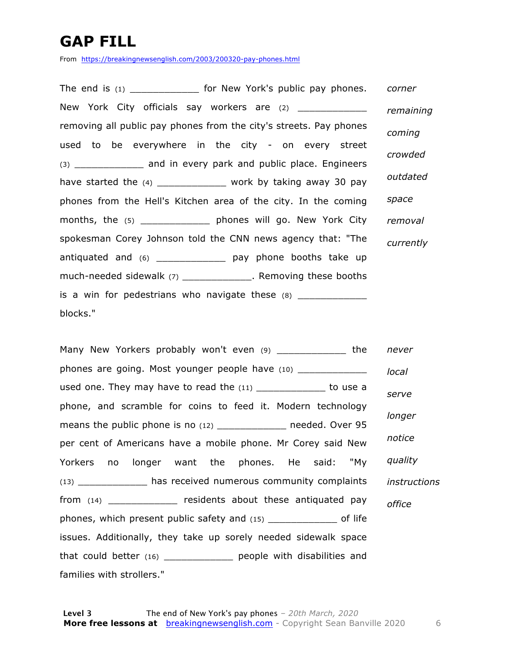## **GAP FILL**

From https://breakingnewsenglish.com/2003/200320-pay-phones.html

The end is (1) \_\_\_\_\_\_\_\_\_\_\_\_\_\_\_ for New York's public pay phones. New York City officials say workers are (2) \_\_\_\_\_\_\_\_\_\_\_\_\_\_ removing all public pay phones from the city's streets. Pay phones used to be everywhere in the city - on every street (3) and in every park and public place. Engineers have started the  $(4)$  \_\_\_\_\_\_\_\_\_\_\_\_\_\_\_ work by taking away 30 pay phones from the Hell's Kitchen area of the city. In the coming months, the (5) \_\_\_\_\_\_\_\_\_\_\_\_ phones will go. New York City spokesman Corey Johnson told the CNN news agency that: "The antiquated and (6) \_\_\_\_\_\_\_\_\_\_\_\_\_\_\_ pay phone booths take up much-needed sidewalk (7) \_\_\_\_\_\_\_\_\_\_\_\_\_\_\_. Removing these booths is a win for pedestrians who navigate these  $(8)$  \_\_\_\_\_\_\_\_\_\_\_\_ blocks." *corner remaining coming crowded outdated space removal currently*

Many New Yorkers probably won't even (9) The state the phones are going. Most younger people have (10) \_\_\_\_\_\_\_\_\_\_\_\_\_\_ used one. They may have to read the  $(11)$  \_\_\_\_\_\_\_\_\_\_\_\_\_\_\_ to use a phone, and scramble for coins to feed it. Modern technology means the public phone is no (12) \_\_\_\_\_\_\_\_\_\_\_\_\_ needed. Over 95 per cent of Americans have a mobile phone. Mr Corey said New Yorkers no longer want the phones. He said: "My (13) \_\_\_\_\_\_\_\_\_\_\_\_ has received numerous community complaints from (14) \_\_\_\_\_\_\_\_\_\_\_\_ residents about these antiquated pay phones, which present public safety and (15) \_\_\_\_\_\_\_\_\_\_\_\_ of life issues. Additionally, they take up sorely needed sidewalk space that could better (16) \_\_\_\_\_\_\_\_\_\_\_\_ people with disabilities and families with strollers." *never local serve longer notice quality instructions office*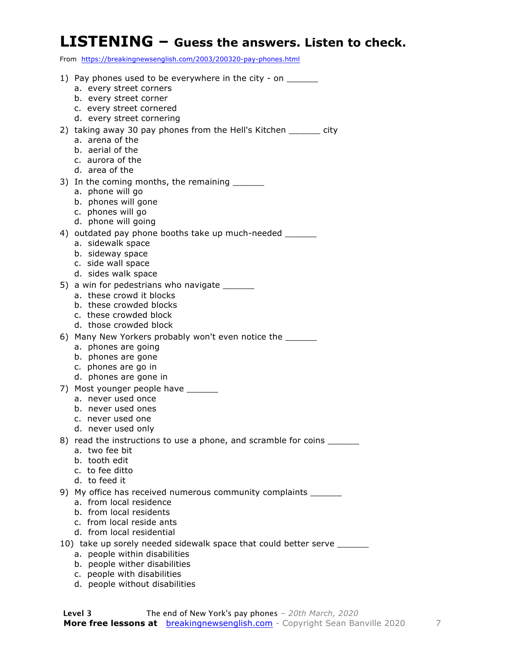#### **LISTENING – Guess the answers. Listen to check.**

From https://breakingnewsenglish.com/2003/200320-pay-phones.html

| 1) Pay phones used to be everywhere in the city - on _______<br>a. every street corners   |
|-------------------------------------------------------------------------------------------|
| b. every street corner                                                                    |
| c. every street cornered                                                                  |
| d. every street cornering                                                                 |
| 2) taking away 30 pay phones from the Hell's Kitchen ______ city                          |
| a. arena of the                                                                           |
| b. aerial of the                                                                          |
| c. aurora of the                                                                          |
| d. area of the                                                                            |
| 3) In the coming months, the remaining _______                                            |
| a. phone will go                                                                          |
| b. phones will gone                                                                       |
| c. phones will go                                                                         |
| d. phone will going                                                                       |
| 4) outdated pay phone booths take up much-needed _______                                  |
| a. sidewalk space                                                                         |
| b. sideway space<br>c. side wall space                                                    |
| d. sides walk space                                                                       |
| 5) a win for pedestrians who navigate _______                                             |
| a. these crowd it blocks                                                                  |
| b. these crowded blocks                                                                   |
| c. these crowded block                                                                    |
| d. those crowded block                                                                    |
| 6) Many New Yorkers probably won't even notice the ______                                 |
| a. phones are going                                                                       |
| b. phones are gone                                                                        |
| c. phones are go in                                                                       |
| d. phones are gone in                                                                     |
| 7) Most younger people have ______                                                        |
| a. never used once                                                                        |
| b. never used ones                                                                        |
| c. never used one<br>d. never used only                                                   |
|                                                                                           |
| 8) read the instructions to use a phone, and scramble for coins _______<br>a. two fee bit |
| b. tooth edit                                                                             |
| c. to fee ditto                                                                           |
| d. to feed it                                                                             |
| 9) My office has received numerous community complaints ______                            |
| a. from local residence                                                                   |
| b. from local residents                                                                   |
| c. from local reside ants                                                                 |
| d. from local residential                                                                 |
| 10) take up sorely needed sidewalk space that could better serve _______                  |
| a. people within disabilities                                                             |
| b. people wither disabilities                                                             |
| c. people with disabilities                                                               |

d. people without disabilities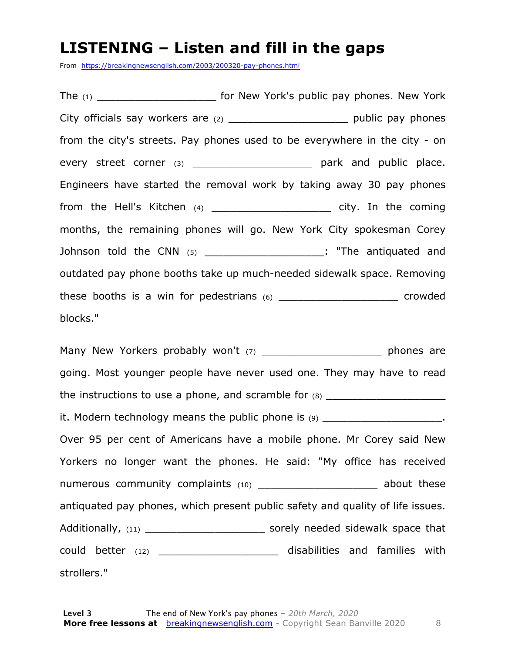#### **LISTENING – Listen and fill in the gaps**

From https://breakingnewsenglish.com/2003/200320-pay-phones.html

The (1) The (1) The (1) The (1)  $\blacksquare$  for New York's public pay phones. New York City officials say workers are  $(2)$   $\qquad \qquad$  public pay phones from the city's streets. Pay phones used to be everywhere in the city - on every street corner (3) **Example 2** and public place. Engineers have started the removal work by taking away 30 pay phones from the Hell's Kitchen (4) example the coming city. In the coming months, the remaining phones will go. New York City spokesman Corey Johnson told the CNN (5) **Example 2 and Solution** 1. "The antiquated and outdated pay phone booths take up much-needed sidewalk space. Removing these booths is a win for pedestrians (6) \_\_\_\_\_\_\_\_\_\_\_\_\_\_\_\_\_\_\_ crowded blocks."

Many New Yorkers probably won't (7) The many phones are going. Most younger people have never used one. They may have to read the instructions to use a phone, and scramble for  $(8)$ it. Modern technology means the public phone is  $(9)$ Over 95 per cent of Americans have a mobile phone. Mr Corey said New Yorkers no longer want the phones. He said: "My office has received numerous community complaints (10) \_\_\_\_\_\_\_\_\_\_\_\_\_\_\_\_\_\_\_\_\_\_ about these antiquated pay phones, which present public safety and quality of life issues. Additionally, (11) \_\_\_\_\_\_\_\_\_\_\_\_\_\_\_\_\_\_\_ sorely needed sidewalk space that could better (12) \_\_\_\_\_\_\_\_\_\_\_\_\_\_\_\_\_\_\_ disabilities and families with strollers."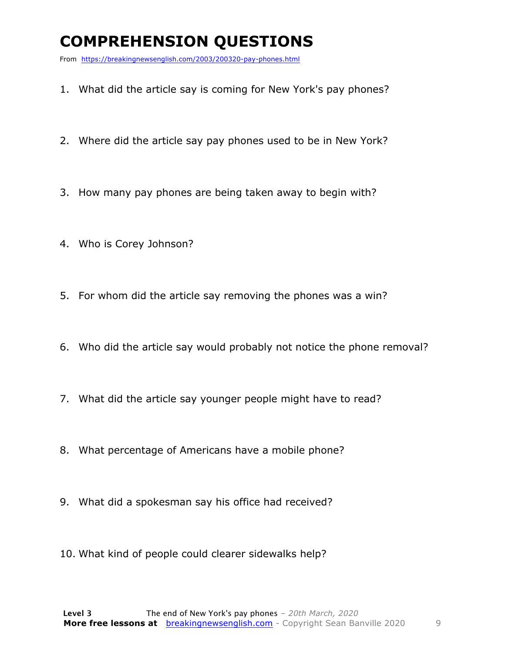## **COMPREHENSION QUESTIONS**

From https://breakingnewsenglish.com/2003/200320-pay-phones.html

- 1. What did the article say is coming for New York's pay phones?
- 2. Where did the article say pay phones used to be in New York?
- 3. How many pay phones are being taken away to begin with?
- 4. Who is Corey Johnson?
- 5. For whom did the article say removing the phones was a win?
- 6. Who did the article say would probably not notice the phone removal?
- 7. What did the article say younger people might have to read?
- 8. What percentage of Americans have a mobile phone?
- 9. What did a spokesman say his office had received?
- 10. What kind of people could clearer sidewalks help?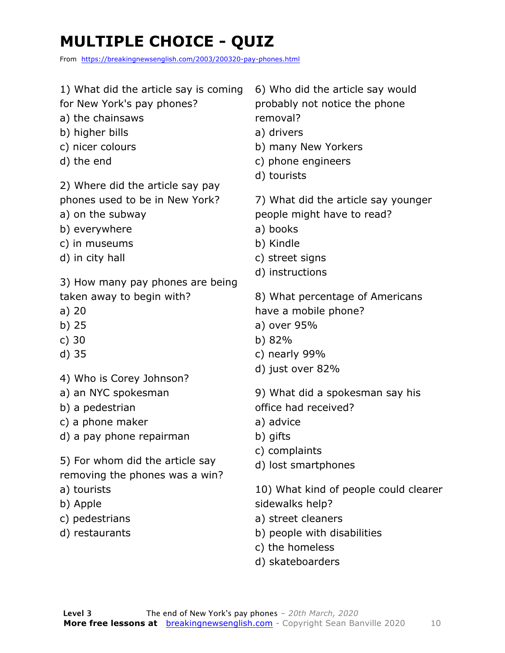## **MULTIPLE CHOICE - QUIZ**

From https://breakingnewsenglish.com/2003/200320-pay-phones.html

| 1) What did the article say is coming<br>for New York's pay phones?<br>a) the chainsaws<br>b) higher bills<br>c) nicer colours<br>d) the end<br>2) Where did the article say pay<br>phones used to be in New York?<br>a) on the subway<br>b) everywhere<br>c) in museums<br>d) in city hall<br>3) How many pay phones are being<br>taken away to begin with?<br>a)20<br>b) $25$<br>c) $30$ | 6) Who did the article say would<br>probably not notice the phone<br>removal?<br>a) drivers<br>b) many New Yorkers<br>c) phone engineers<br>d) tourists<br>7) What did the article say younger<br>people might have to read?<br>a) books<br>b) Kindle<br>c) street signs<br>d) instructions<br>8) What percentage of Americans<br>have a mobile phone?<br>a) over 95%<br>b) 82% |
|--------------------------------------------------------------------------------------------------------------------------------------------------------------------------------------------------------------------------------------------------------------------------------------------------------------------------------------------------------------------------------------------|---------------------------------------------------------------------------------------------------------------------------------------------------------------------------------------------------------------------------------------------------------------------------------------------------------------------------------------------------------------------------------|
| $d)$ 35<br>4) Who is Corey Johnson?<br>a) an NYC spokesman<br>b) a pedestrian<br>c) a phone maker<br>d) a pay phone repairman<br>5) For whom did the article say<br>removing the phones was a win?<br>a) tourists<br>b) Apple<br>c) pedestrians<br>d) restaurants                                                                                                                          | c) nearly 99%<br>d) just over 82%<br>9) What did a spokesman say his<br>office had received?<br>a) advice<br>b) gifts<br>c) complaints<br>d) lost smartphones<br>10) What kind of people could clearer<br>sidewalks help?<br>a) street cleaners<br>b) people with disabilities<br>c) the homeless<br>d) skateboarders                                                           |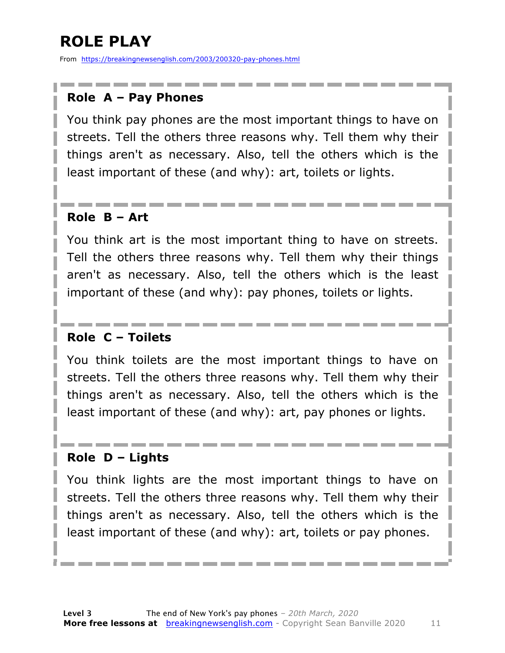## **ROLE PLAY**

From https://breakingnewsenglish.com/2003/200320-pay-phones.html

#### **Role A – Pay Phones**

You think pay phones are the most important things to have on streets. Tell the others three reasons why. Tell them why their things aren't as necessary. Also, tell the others which is the least important of these (and why): art, toilets or lights.

#### **Role B – Art**

You think art is the most important thing to have on streets. Tell the others three reasons why. Tell them why their things aren't as necessary. Also, tell the others which is the least important of these (and why): pay phones, toilets or lights.

#### **Role C – Toilets**

You think toilets are the most important things to have on streets. Tell the others three reasons why. Tell them why their things aren't as necessary. Also, tell the others which is the least important of these (and why): art, pay phones or lights.

#### **Role D – Lights**

You think lights are the most important things to have on streets. Tell the others three reasons why. Tell them why their things aren't as necessary. Also, tell the others which is the least important of these (and why): art, toilets or pay phones.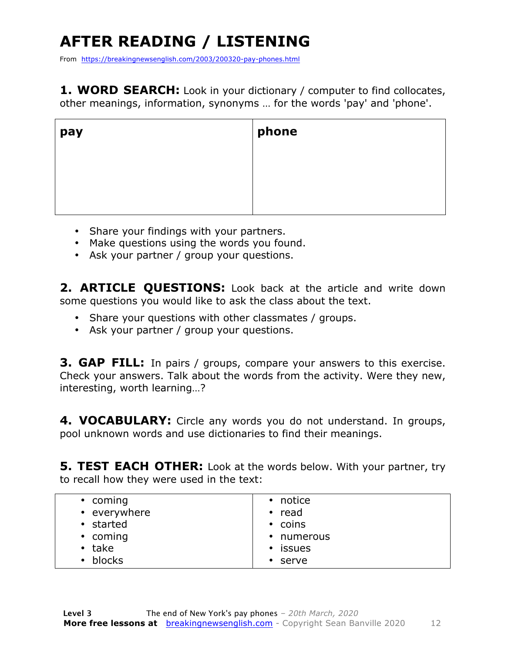## **AFTER READING / LISTENING**

From https://breakingnewsenglish.com/2003/200320-pay-phones.html

**1. WORD SEARCH:** Look in your dictionary / computer to find collocates, other meanings, information, synonyms … for the words 'pay' and 'phone'.

| pay | phone |
|-----|-------|
|     |       |
|     |       |
|     |       |

- Share your findings with your partners.
- Make questions using the words you found.
- Ask your partner / group your questions.

2. **ARTICLE OUESTIONS:** Look back at the article and write down some questions you would like to ask the class about the text.

- Share your questions with other classmates / groups.
- Ask your partner / group your questions.

**3. GAP FILL:** In pairs / groups, compare your answers to this exercise. Check your answers. Talk about the words from the activity. Were they new, interesting, worth learning…?

**4. VOCABULARY:** Circle any words you do not understand. In groups, pool unknown words and use dictionaries to find their meanings.

**5. TEST EACH OTHER:** Look at the words below. With your partner, try to recall how they were used in the text:

| $\cdot$ coming      | • notice           |
|---------------------|--------------------|
| • everywhere        | $\cdot$ read       |
| • started           | • coins            |
| • coming            | • numerous         |
| $\cdot$ take        | • issues           |
| blocks<br>$\bullet$ | serve<br>$\bullet$ |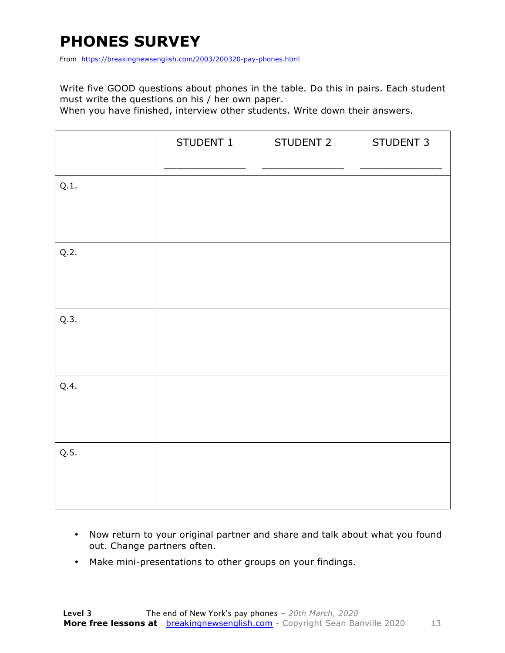## **PHONES SURVEY**

From https://breakingnewsenglish.com/2003/200320-pay-phones.html

Write five GOOD questions about phones in the table. Do this in pairs. Each student must write the questions on his / her own paper.

When you have finished, interview other students. Write down their answers.

|      | STUDENT 1 | STUDENT 2 | STUDENT 3 |
|------|-----------|-----------|-----------|
| Q.1. |           |           |           |
| Q.2. |           |           |           |
| Q.3. |           |           |           |
| Q.4. |           |           |           |
| Q.5. |           |           |           |

- Now return to your original partner and share and talk about what you found out. Change partners often.
- Make mini-presentations to other groups on your findings.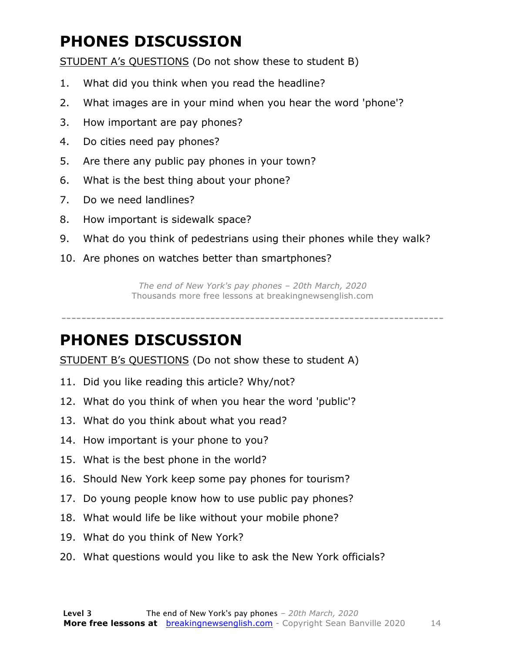## **PHONES DISCUSSION**

STUDENT A's QUESTIONS (Do not show these to student B)

- 1. What did you think when you read the headline?
- 2. What images are in your mind when you hear the word 'phone'?
- 3. How important are pay phones?
- 4. Do cities need pay phones?
- 5. Are there any public pay phones in your town?
- 6. What is the best thing about your phone?
- 7. Do we need landlines?
- 8. How important is sidewalk space?
- 9. What do you think of pedestrians using their phones while they walk?
- 10. Are phones on watches better than smartphones?

*The end of New York's pay phones – 20th March, 2020* Thousands more free lessons at breakingnewsenglish.com

-----------------------------------------------------------------------------

#### **PHONES DISCUSSION**

STUDENT B's QUESTIONS (Do not show these to student A)

- 11. Did you like reading this article? Why/not?
- 12. What do you think of when you hear the word 'public'?
- 13. What do you think about what you read?
- 14. How important is your phone to you?
- 15. What is the best phone in the world?
- 16. Should New York keep some pay phones for tourism?
- 17. Do young people know how to use public pay phones?
- 18. What would life be like without your mobile phone?
- 19. What do you think of New York?
- 20. What questions would you like to ask the New York officials?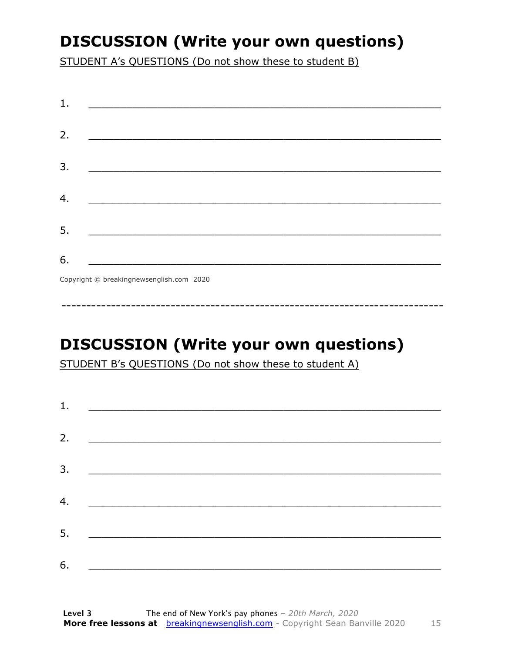## **DISCUSSION (Write your own questions)**

STUDENT A's QUESTIONS (Do not show these to student B)

| 1. |                                                                                                                          |
|----|--------------------------------------------------------------------------------------------------------------------------|
| 2. |                                                                                                                          |
|    | <u> 1989 - Johann John Stone, mars et al. (b. 1989)</u>                                                                  |
| 3. | <u> 1980 - Johann John Stone, mensk politik (d. 1980)</u>                                                                |
|    |                                                                                                                          |
| 4. |                                                                                                                          |
| 5. | <u> 1980 - Johann John Stone, markin fan it fjort fan it fjort fan it fjort fan it fjort fan it fjort fan it fjort f</u> |
|    |                                                                                                                          |
| 6. | <u> 1989 - Johann Barbara, martxa alemani</u> ar arte                                                                    |
|    | $Convriath \odot hraskinanawsanalich com 2020$                                                                           |

Copyright © breakingnewsenglish.com 2020

## **DISCUSSION (Write your own questions)**

STUDENT B's QUESTIONS (Do not show these to student A)

| 1. | <u> Alexandria de la contrada de la contrada de la contrada de la contrada de la contrada de la contrada de la c</u> |  |  |
|----|----------------------------------------------------------------------------------------------------------------------|--|--|
|    |                                                                                                                      |  |  |
| 2. |                                                                                                                      |  |  |
| 3. |                                                                                                                      |  |  |
| 4. |                                                                                                                      |  |  |
|    |                                                                                                                      |  |  |
| 5. |                                                                                                                      |  |  |
| 6. |                                                                                                                      |  |  |
|    |                                                                                                                      |  |  |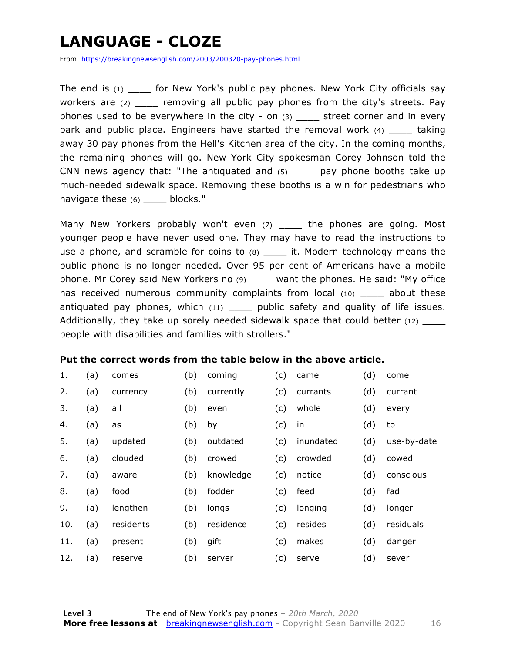## **LANGUAGE - CLOZE**

From https://breakingnewsenglish.com/2003/200320-pay-phones.html

The end is  $(1)$  for New York's public pay phones. New York City officials say workers are (2) \_\_\_\_\_ removing all public pay phones from the city's streets. Pay phones used to be everywhere in the city - on  $(3)$  \_\_\_\_ street corner and in every park and public place. Engineers have started the removal work (4) taking away 30 pay phones from the Hell's Kitchen area of the city. In the coming months, the remaining phones will go. New York City spokesman Corey Johnson told the CNN news agency that: "The antiquated and  $(5)$  pay phone booths take up much-needed sidewalk space. Removing these booths is a win for pedestrians who navigate these (6) \_\_\_\_ blocks."

Many New Yorkers probably won't even (7) \_\_\_\_\_ the phones are going. Most younger people have never used one. They may have to read the instructions to use a phone, and scramble for coins to  $(8)$  \_\_\_\_ it. Modern technology means the public phone is no longer needed. Over 95 per cent of Americans have a mobile phone. Mr Corey said New Yorkers no (9) \_\_\_\_ want the phones. He said: "My office has received numerous community complaints from local (10) \_\_\_\_ about these antiquated pay phones, which  $(11)$  \_\_\_\_ public safety and quality of life issues. Additionally, they take up sorely needed sidewalk space that could better (12) \_\_\_\_ people with disabilities and families with strollers."

#### **Put the correct words from the table below in the above article.**

| 1.  | (a) | comes     | (b) | coming    | (c) | came      | (d) | come        |
|-----|-----|-----------|-----|-----------|-----|-----------|-----|-------------|
| 2.  | (a) | currency  | (b) | currently | (c) | currants  | (d) | currant     |
| 3.  | (a) | all       | (b) | even      | (c) | whole     | (d) | every       |
| 4.  | (a) | as        | (b) | by        | (c) | in        | (d) | to          |
| 5.  | (a) | updated   | (b) | outdated  | (c) | inundated | (d) | use-by-date |
| 6.  | (a) | clouded   | (b) | crowed    | (c) | crowded   | (d) | cowed       |
| 7.  | (a) | aware     | (b) | knowledge | (c) | notice    | (d) | conscious   |
| 8.  | (a) | food      | (b) | fodder    | (c) | feed      | (d) | fad         |
| 9.  | (a) | lengthen  | (b) | longs     | (c) | longing   | (d) | longer      |
| 10. | (a) | residents | (b) | residence | (c) | resides   | (d) | residuals   |
| 11. | (a) | present   | (b) | gift      | (c) | makes     | (d) | danger      |
| 12. | (a) | reserve   | (b) | server    | (c) | serve     | (d) | sever       |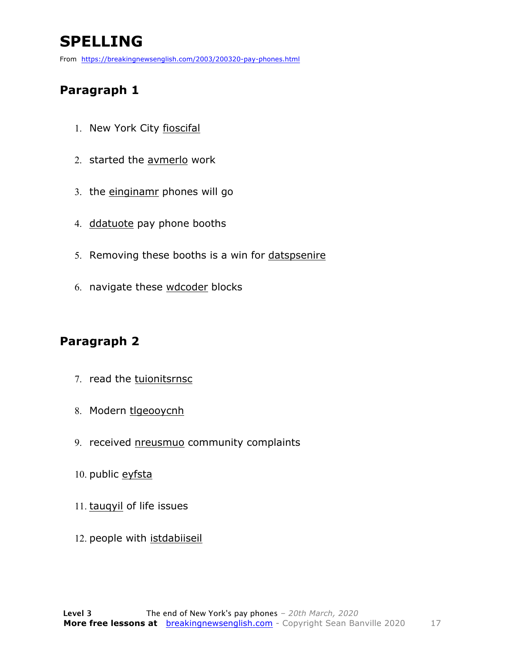## **SPELLING**

From https://breakingnewsenglish.com/2003/200320-pay-phones.html

#### **Paragraph 1**

- 1. New York City fioscifal
- 2. started the avmerlo work
- 3. the einginamr phones will go
- 4. ddatuote pay phone booths
- 5. Removing these booths is a win for datspsenire
- 6. navigate these wdcoder blocks

#### **Paragraph 2**

- 7. read the tuionitsrnsc
- 8. Modern tlgeooycnh
- 9. received nreusmuo community complaints
- 10. public eyfsta
- 11. tauqyil of life issues
- 12. people with istdabiiseil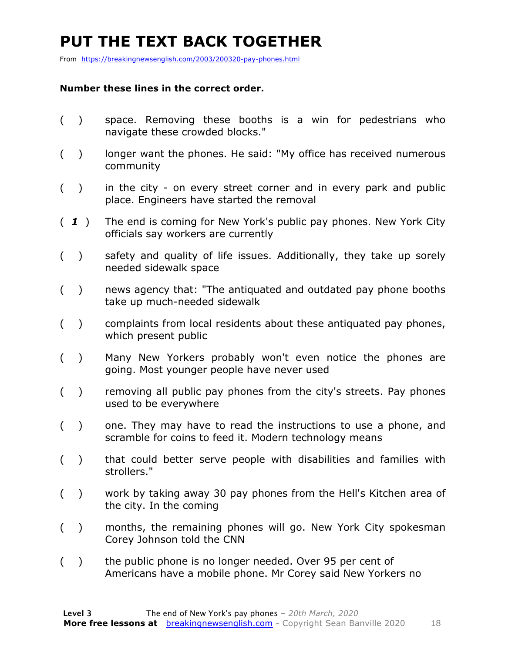## **PUT THE TEXT BACK TOGETHER**

From https://breakingnewsenglish.com/2003/200320-pay-phones.html

#### **Number these lines in the correct order.**

- ( ) space. Removing these booths is a win for pedestrians who navigate these crowded blocks."
- () longer want the phones. He said: "My office has received numerous community
- ( ) in the city on every street corner and in every park and public place. Engineers have started the removal
- ( *1* ) The end is coming for New York's public pay phones. New York City officials say workers are currently
- ( ) safety and quality of life issues. Additionally, they take up sorely needed sidewalk space
- ( ) news agency that: "The antiquated and outdated pay phone booths take up much-needed sidewalk
- ( ) complaints from local residents about these antiquated pay phones, which present public
- ( ) Many New Yorkers probably won't even notice the phones are going. Most younger people have never used
- ( ) removing all public pay phones from the city's streets. Pay phones used to be everywhere
- ( ) one. They may have to read the instructions to use a phone, and scramble for coins to feed it. Modern technology means
- ( ) that could better serve people with disabilities and families with strollers."
- ( ) work by taking away 30 pay phones from the Hell's Kitchen area of the city. In the coming
- ( ) months, the remaining phones will go. New York City spokesman Corey Johnson told the CNN
- ( ) the public phone is no longer needed. Over 95 per cent of Americans have a mobile phone. Mr Corey said New Yorkers no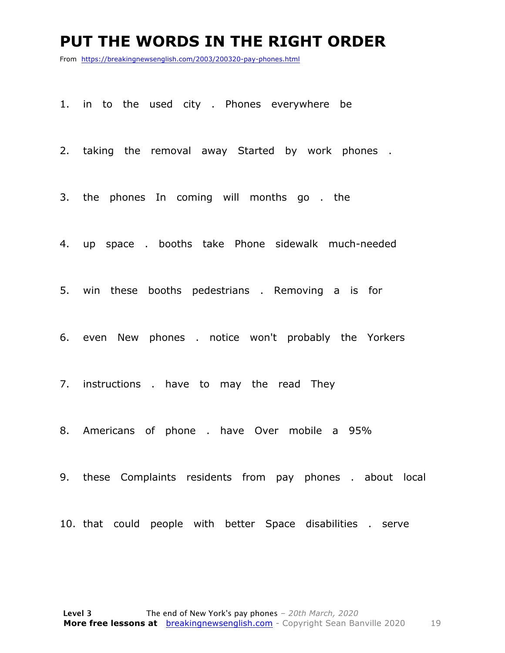#### **PUT THE WORDS IN THE RIGHT ORDER**

From https://breakingnewsenglish.com/2003/200320-pay-phones.html

1. in to the used city . Phones everywhere be

2. taking the removal away Started by work phones .

3. the phones In coming will months go . the

4. up space . booths take Phone sidewalk much-needed

5. win these booths pedestrians . Removing a is for

6. even New phones . notice won't probably the Yorkers

7. instructions . have to may the read They

8. Americans of phone . have Over mobile a 95%

9. these Complaints residents from pay phones . about local

10. that could people with better Space disabilities . serve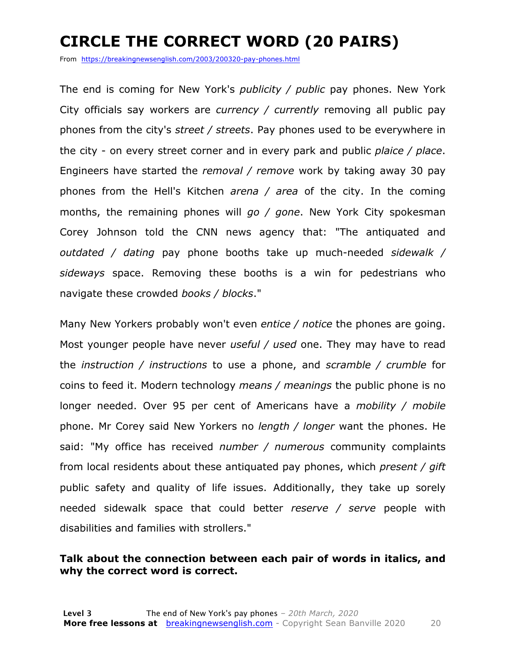## **CIRCLE THE CORRECT WORD (20 PAIRS)**

From https://breakingnewsenglish.com/2003/200320-pay-phones.html

The end is coming for New York's *publicity / public* pay phones. New York City officials say workers are *currency / currently* removing all public pay phones from the city's *street / streets*. Pay phones used to be everywhere in the city - on every street corner and in every park and public *plaice / place*. Engineers have started the *removal / remove* work by taking away 30 pay phones from the Hell's Kitchen *arena / area* of the city. In the coming months, the remaining phones will *go / gone*. New York City spokesman Corey Johnson told the CNN news agency that: "The antiquated and *outdated / dating* pay phone booths take up much-needed *sidewalk / sideways* space. Removing these booths is a win for pedestrians who navigate these crowded *books / blocks*."

Many New Yorkers probably won't even *entice / notice* the phones are going. Most younger people have never *useful / used* one. They may have to read the *instruction / instructions* to use a phone, and *scramble / crumble* for coins to feed it. Modern technology *means / meanings* the public phone is no longer needed. Over 95 per cent of Americans have a *mobility / mobile* phone. Mr Corey said New Yorkers no *length / longer* want the phones. He said: "My office has received *number / numerous* community complaints from local residents about these antiquated pay phones, which *present / gift* public safety and quality of life issues. Additionally, they take up sorely needed sidewalk space that could better *reserve / serve* people with disabilities and families with strollers."

#### **Talk about the connection between each pair of words in italics, and why the correct word is correct.**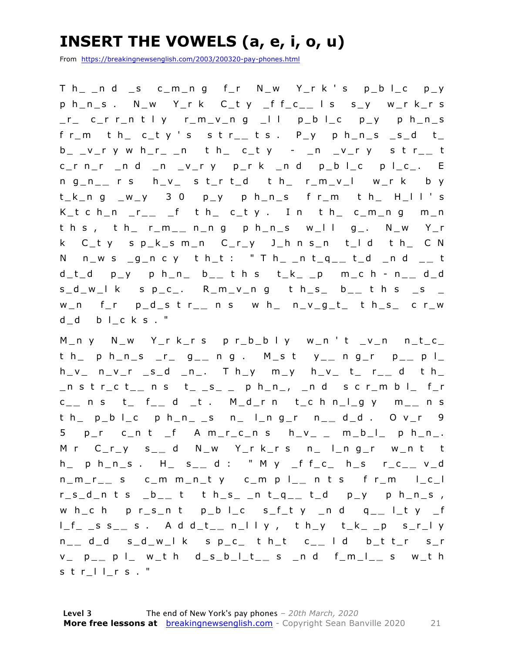## **INSERT THE VOWELS (a, e, i, o, u)**

From https://breakingnewsenglish.com/2003/200320-pay-phones.html

T h\_ \_n d \_s c\_m\_n g f\_r N\_w Y\_r k ' s p\_b l\_c p\_y p h\_n\_s . N\_w Y\_r k C\_t y \_f f\_c\_ **\_** l s s\_y w\_r k\_r s  $r_{-}$  c\_r r\_n t l y r\_m\_v\_n g  $-11$  p\_b l\_c p\_y p h\_n\_s f r\_m t h\_ c\_t y ' s s t r\_ **\_** t s . P\_y p h\_n\_s \_s\_d t\_ b\_ \_v\_r y w h\_r\_ \_n t h\_ c\_t y - \_n \_v\_r y s t r\_ **\_** t  $c_r$  n\_r \_n d \_n \_v\_r y p\_r k \_n d p\_b l\_c p l\_c\_. E n g\_n\_ **\_** r s h\_v\_ s t\_r t\_d t h\_ r\_m\_v\_l w\_r k b y  $t_k$ ng  $w_y$  30 p\_y ph\_n\_s fr\_m th\_ H\_II's K\_t c h\_n \_r\_ **\_** \_f t h\_ c\_t y . I n t h\_ c\_m\_n g m\_n t h s , t h\_ r\_m\_ **\_** n\_n g p h\_n\_s w\_l l g\_. N\_w Y\_r k C\_t y s p\_k\_s m\_n C\_r\_y J\_h n s\_n t\_l d t h\_ C N N n\_w s \_g\_n c y t h\_t : " T h\_ \_n t\_q\_ **\_** t\_d \_n d \_ **\_** t d\_t\_d p\_y p h\_n\_ b\_ **\_** t h s t\_k\_ \_p m\_c h - n \_ **\_** d\_d s\_d\_w\_l k s p\_c\_. R\_m\_v\_n g t h\_s\_ b\_ **\_** t h s \_s \_ w\_n f\_r p\_d\_s t r\_ **\_** n s w h\_ n\_v\_g\_t\_ t h\_s\_ c r\_w d\_d b l\_c k s . "

M\_n y N\_w Y\_r k\_r s p r\_b\_b l y w\_n ' t \_v\_n n\_t\_c\_ t h\_ p h\_n\_s \_r\_ g\_ **\_** n g . M\_s t y\_ **\_** n g\_r p\_ **\_** p l\_ h\_v\_ n\_v\_r \_s\_d \_n\_. T h\_y m\_y h\_v\_ t\_ r\_ **\_** d t h\_ \_n s t r\_c t\_ **\_** n s t\_ \_s\_ \_ p h\_n\_, \_n d s c r\_m b l\_ f\_r c \_ **\_** n s t\_ f\_ **\_** d \_t . M\_d\_r n t\_c h n\_l\_g y m\_ **\_** n s t h\_ p\_b l\_c p h\_n\_ \_s n\_ l\_n g\_r n\_ **\_** d\_d . O v\_r 9  $5$   $p_r$   $c_n$  t  $f$  A  $m_r$   $c_n$   $s$   $h_v$   $v$   $m_b$   $l$   $p$   $h$   $n$ M r C\_r\_y s\_ **\_** d N\_w Y\_r k\_r s n\_ l\_n g\_r w\_n t t h\_ p h\_n\_s . H\_ s\_ **\_** d : " M y \_f f\_c\_ h\_s r\_c\_ **\_** v\_d n\_m\_r\_ **\_** s c\_m m\_n\_t y c\_m p l\_ **\_** n t s f r\_m l\_c\_l r\_s\_d\_n t s \_b\_ **\_** t t h\_s\_ \_n t\_q\_ **\_** t\_d p\_y p h\_n\_s , w h\_c h p r\_s\_n t p\_b l\_c s\_f\_t y \_n d q\_ **\_** l\_t y \_f l\_f\_ \_s s\_ **\_** s . A d d\_t\_ **\_** n\_l l y , t h\_y t\_k\_ \_p s\_r\_l y n \_ **\_** d\_d s\_d\_w\_l k s p\_c\_ t h\_t c\_ **\_** l d b\_t t\_r s\_r v\_ p\_ **\_** p l\_ w\_t h d\_s\_b\_l\_t\_ **\_** s \_n d f\_m\_l\_ **\_** s w\_t h s t r l l\_r s . "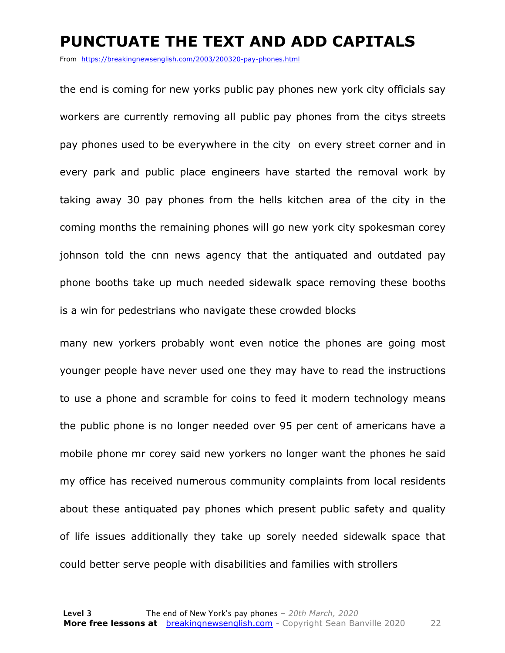#### **PUNCTUATE THE TEXT AND ADD CAPITALS**

From https://breakingnewsenglish.com/2003/200320-pay-phones.html

the end is coming for new yorks public pay phones new york city officials say workers are currently removing all public pay phones from the citys streets pay phones used to be everywhere in the city on every street corner and in every park and public place engineers have started the removal work by taking away 30 pay phones from the hells kitchen area of the city in the coming months the remaining phones will go new york city spokesman corey johnson told the cnn news agency that the antiquated and outdated pay phone booths take up much needed sidewalk space removing these booths is a win for pedestrians who navigate these crowded blocks

many new yorkers probably wont even notice the phones are going most younger people have never used one they may have to read the instructions to use a phone and scramble for coins to feed it modern technology means the public phone is no longer needed over 95 per cent of americans have a mobile phone mr corey said new yorkers no longer want the phones he said my office has received numerous community complaints from local residents about these antiquated pay phones which present public safety and quality of life issues additionally they take up sorely needed sidewalk space that could better serve people with disabilities and families with strollers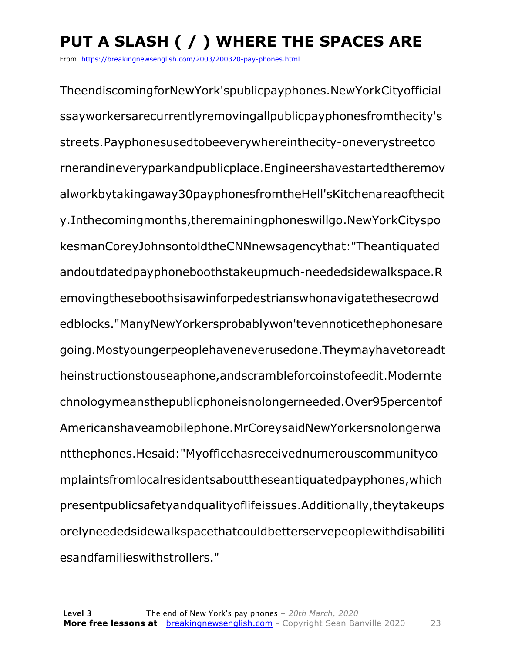## **PUT A SLASH ( / ) WHERE THE SPACES ARE**

From https://breakingnewsenglish.com/2003/200320-pay-phones.html

TheendiscomingforNewYork'spublicpayphones.NewYorkCityofficial ssayworkersarecurrentlyremovingallpublicpayphonesfromthecity's streets.Payphonesusedtobeeverywhereinthecity-oneverystreetco rnerandineveryparkandpublicplace.Engineershavestartedtheremov alworkbytakingaway30payphonesfromtheHell'sKitchenareaofthecit y.Inthecomingmonths,theremainingphoneswillgo.NewYorkCityspo kesmanCoreyJohnsontoldtheCNNnewsagencythat:"Theantiquated andoutdatedpayphoneboothstakeupmuch-neededsidewalkspace.R emovingtheseboothsisawinforpedestrianswhonavigatethesecrowd edblocks."ManyNewYorkersprobablywon'tevennoticethephonesare going.Mostyoungerpeoplehaveneverusedone.Theymayhavetoreadt heinstructionstouseaphone,andscrambleforcoinstofeedit.Modernte chnologymeansthepublicphoneisnolongerneeded.Over95percentof Americanshaveamobilephone.MrCoreysaidNewYorkersnolongerwa ntthephones.Hesaid:"Myofficehasreceivednumerouscommunityco mplaintsfromlocalresidentsabouttheseantiquatedpayphones,which presentpublicsafetyandqualityoflifeissues.Additionally,theytakeups orelyneededsidewalkspacethatcouldbetterservepeoplewithdisabiliti esandfamilieswithstrollers."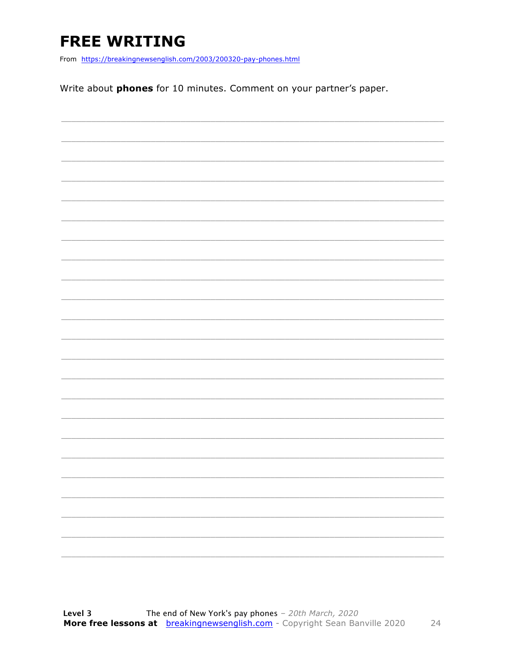## **FREE WRITING**

From https://breakingnewsenglish.com/2003/200320-pay-phones.html

Write about phones for 10 minutes. Comment on your partner's paper.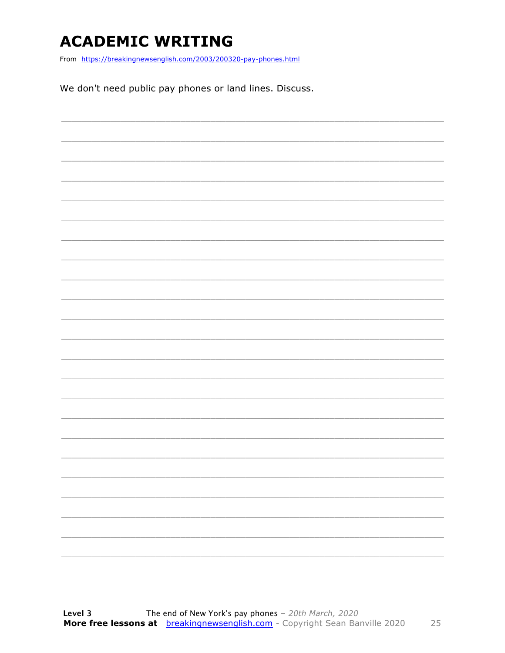## **ACADEMIC WRITING**

From https://breakingnewsenglish.com/2003/200320-pay-phones.html

We don't need public pay phones or land lines. Discuss.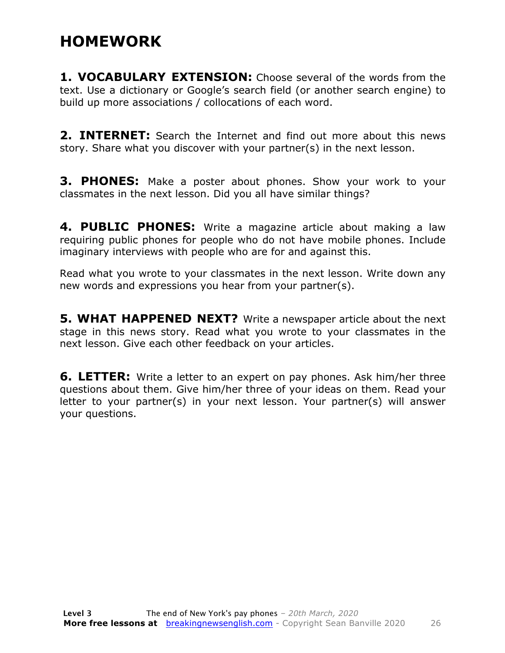#### **HOMEWORK**

**1. VOCABULARY EXTENSION:** Choose several of the words from the text. Use a dictionary or Google's search field (or another search engine) to build up more associations / collocations of each word.

**2. INTERNET:** Search the Internet and find out more about this news story. Share what you discover with your partner(s) in the next lesson.

**3. PHONES:** Make a poster about phones. Show your work to your classmates in the next lesson. Did you all have similar things?

**4. PUBLIC PHONES:** Write a magazine article about making a law requiring public phones for people who do not have mobile phones. Include imaginary interviews with people who are for and against this.

Read what you wrote to your classmates in the next lesson. Write down any new words and expressions you hear from your partner(s).

**5. WHAT HAPPENED NEXT?** Write a newspaper article about the next stage in this news story. Read what you wrote to your classmates in the next lesson. Give each other feedback on your articles.

**6. LETTER:** Write a letter to an expert on pay phones. Ask him/her three questions about them. Give him/her three of your ideas on them. Read your letter to your partner(s) in your next lesson. Your partner(s) will answer your questions.